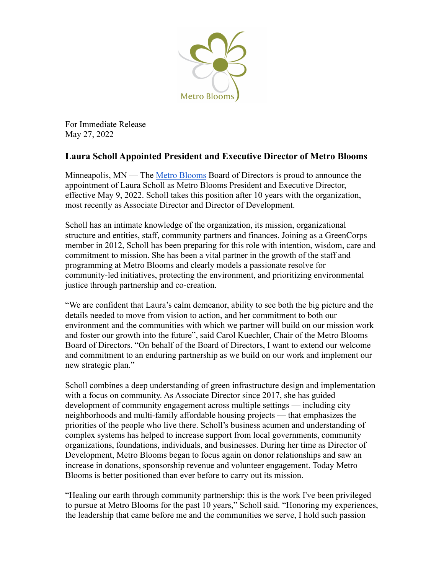

For Immediate Release May 27, 2022

## **Laura Scholl Appointed President and Executive Director of Metro Blooms**

Minneapolis, MN — The [Metro Blooms](https://metroblooms.org/) Board of Directors is proud to announce the appointment of Laura Scholl as Metro Blooms President and Executive Director, effective May 9, 2022. Scholl takes this position after 10 years with the organization, most recently as Associate Director and Director of Development.

Scholl has an intimate knowledge of the organization, its mission, organizational structure and entities, staff, community partners and finances. Joining as a GreenCorps member in 2012, Scholl has been preparing for this role with intention, wisdom, care and commitment to mission. She has been a vital partner in the growth of the staff and programming at Metro Blooms and clearly models a passionate resolve for community-led initiatives, protecting the environment, and prioritizing environmental justice through partnership and co-creation.

"We are confident that Laura's calm demeanor, ability to see both the big picture and the details needed to move from vision to action, and her commitment to both our environment and the communities with which we partner will build on our mission work and foster our growth into the future", said Carol Kuechler, Chair of the Metro Blooms Board of Directors. "On behalf of the Board of Directors, I want to extend our welcome and commitment to an enduring partnership as we build on our work and implement our new strategic plan."

Scholl combines a deep understanding of green infrastructure design and implementation with a focus on community. As Associate Director since 2017, she has guided development of community engagement across multiple settings — including city neighborhoods and multi-family affordable housing projects — that emphasizes the priorities of the people who live there. Scholl's business acumen and understanding of complex systems has helped to increase support from local governments, community organizations, foundations, individuals, and businesses. During her time as Director of Development, Metro Blooms began to focus again on donor relationships and saw an increase in donations, sponsorship revenue and volunteer engagement. Today Metro Blooms is better positioned than ever before to carry out its mission.

"Healing our earth through community partnership: this is the work I've been privileged to pursue at Metro Blooms for the past 10 years," Scholl said. "Honoring my experiences, the leadership that came before me and the communities we serve, I hold such passion